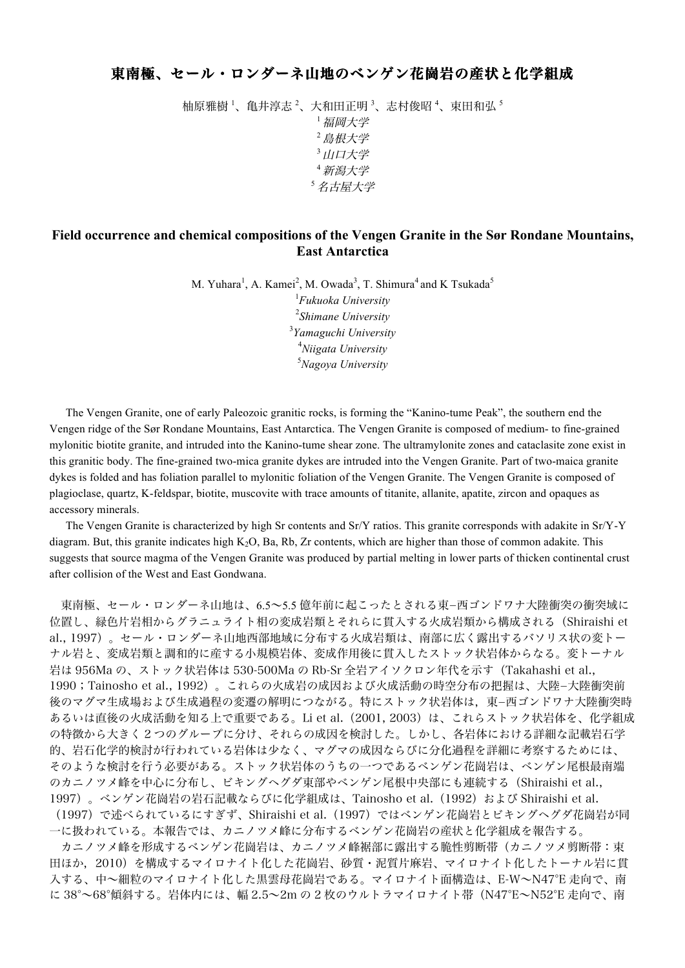## 東南極、セール・ロンダーネ山地のベンゲン花崗岩の産状と化学組成

柚原雅樹 <sup>1</sup>、亀井淳志 <sup>2</sup>、大和田正明 <sup>3</sup>、志村俊昭 <sup>4</sup>、束田和弘 <sup>5</sup> <sup>1</sup>福岡大学 <sup>2</sup>島根大学 3 山口大学 <sup>4</sup>新潟大学 <sup>5</sup>名古屋大学

## **Field occurrence and chemical compositions of the Vengen Granite in the Sør Rondane Mountains, East Antarctica**

M. Yuhara<sup>1</sup>, A. Kamei<sup>2</sup>, M. Owada<sup>3</sup>, T. Shimura<sup>4</sup> and K Tsukada<sup>5</sup>

 *Fukuoka University Shimane University Yamaguchi University Niigata University Nagoya University*

The Vengen Granite, one of early Paleozoic granitic rocks, is forming the "Kanino-tume Peak", the southern end the Vengen ridge of the Sør Rondane Mountains, East Antarctica. The Vengen Granite is composed of medium- to fine-grained mylonitic biotite granite, and intruded into the Kanino-tume shear zone. The ultramylonite zones and cataclasite zone exist in this granitic body. The fine-grained two-mica granite dykes are intruded into the Vengen Granite. Part of two-maica granite dykes is folded and has foliation parallel to mylonitic foliation of the Vengen Granite. The Vengen Granite is composed of plagioclase, quartz, K-feldspar, biotite, muscovite with trace amounts of titanite, allanite, apatite, zircon and opaques as accessory minerals.

The Vengen Granite is characterized by high Sr contents and Sr/Y ratios. This granite corresponds with adakite in Sr/Y-Y diagram. But, this granite indicates high  $K_2O$ , Ba, Rb, Zr contents, which are higher than those of common adakite. This suggests that source magma of the Vengen Granite was produced by partial melting in lower parts of thicken continental crust after collision of the West and East Gondwana.

東南極、セール・ロンダーネ山地は、6.5~5.5 億年前に起こったとされる東-西ゴンドワナ大陸衝突の衝突域に 位置し、緑色片岩相からグラニュライト相の変成岩類とそれらに貫入する火成岩類から構成される(Shiraishi et al., 1997)。セール・ロンダーネ山地西部地域に分布する火成岩類は、南部に広く露出するバソリス状の変トー ナル岩と、変成岩類と調和的に産する小規模岩体、変成作用後に貫入したストック状岩体からなる。変トーナル 岩は 956Ma の、ストック状岩体は 530-500Ma の Rb-Sr 全岩アイソクロン年代を示す(Takahashi et al., 1990;Tainosho et al., 1992)。これらの火成岩の成因および火成活動の時空分布の把握は、大陸-大陸衝突前 後のマグマ生成場および生成過程の変遷の解明につながる。特にストック状岩体は,東-西ゴンドワナ大陸衝突時 あるいは直後の火成活動を知る上で重要である。Li et al.(2001, 2003)は、これらストック状岩体を、化学組成 の特徴から大きく 2 つのグループに分け、それらの成因を検討した。しかし、各岩体における詳細な記載岩石学 的、岩石化学的検討が行われている岩体は少なく、マグマの成因ならびに分化過程を詳細に考察するためには、 そのような検討を行う必要がある。ストック状岩体のうちの一つであるベンゲン花崗岩は、ベンゲン尾根最南端 のカニノツメ峰を中心に分布し、ビキングヘグダ東部やベンゲン尾根中央部にも連続する(Shiraishi et al., 1997)。ベンゲン花崗岩の岩石記載ならびに化学組成は、Tainosho et al. (1992) および Shiraishi et al. (1997)で述べられているにすぎず、Shiraishi et al.(1997)ではベンゲン花崗岩とビキングヘグダ花崗岩が同 一に扱われている。本報告では、カニノツメ峰に分布するベンゲン花崗岩の産状と化学組成を報告する。 カニノツメ峰を形成するベンゲン花崗岩は、カニノツメ峰裾部に露出する脆性剪断帯(カニノツメ剪断帯:束 田ほか,2010)を構成するマイロナイト化した花崗岩、砂質・泥質片麻岩、マイロナイト化したトーナル岩に貫 入する、中~細粒のマイロナイト化した黒雲母花崗岩である。マイロナイト面構造は、E-W~N47°E 走向で、南 に 38°~68°傾斜する。岩体内には、幅 2.5~2m の 2 枚のウルトラマイロナイト帯(N47°E~N52°E 走向で、南